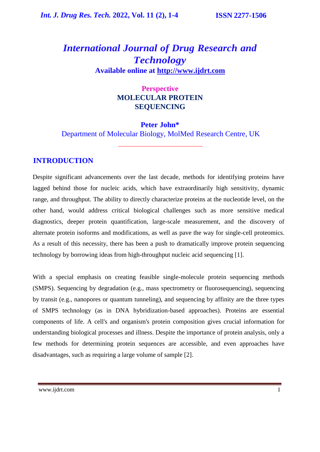# *International Journal of Drug Research and Technology* **Available online at [http://www.ijdrt.com](http://www.ijdrt.com/)**

### **Perspective MOLECULAR PROTEIN SEQUENCING**

#### **Peter John\***

Department of Molecular Biology, MolMed Research Centre, UK

### **INTRODUCTION**

Despite significant advancements over the last decade, methods for identifying proteins have lagged behind those for nucleic acids, which have extraordinarily high sensitivity, dynamic range, and throughput. The ability to directly characterize proteins at the nucleotide level, on the other hand, would address critical biological challenges such as more sensitive medical diagnostics, deeper protein quantification, large-scale measurement, and the discovery of alternate protein isoforms and modifications, as well as pave the way for single-cell proteomics. As a result of this necessity, there has been a push to dramatically improve protein sequencing technology by borrowing ideas from high-throughput nucleic acid sequencing [1].

With a special emphasis on creating feasible single-molecule protein sequencing methods (SMPS). Sequencing by degradation (e.g., mass spectrometry or fluorosequencing), sequencing by transit (e.g., nanopores or quantum tunneling), and sequencing by affinity are the three types of SMPS technology (as in DNA hybridization-based approaches). Proteins are essential components of life. A cell's and organism's protein composition gives crucial information for understanding biological processes and illness. Despite the importance of protein analysis, only a few methods for determining protein sequences are accessible, and even approaches have disadvantages, such as requiring a large volume of sample [2].

[www.ijdrt.com](http://www.ijdrt.com/) 1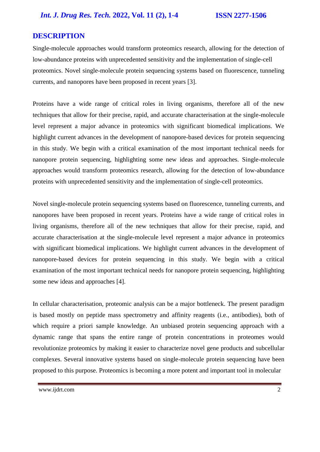### **DESCRIPTION**

Single-molecule approaches would transform proteomics research, allowing for the detection of low-abundance proteins with unprecedented sensitivity and the implementation of single-cell proteomics. Novel single-molecule protein sequencing systems based on fluorescence, tunneling currents, and nanopores have been proposed in recent years [3].

Proteins have a wide range of critical roles in living organisms, therefore all of the new techniques that allow for their precise, rapid, and accurate characterisation at the single-molecule level represent a major advance in proteomics with significant biomedical implications. We highlight current advances in the development of nanopore-based devices for protein sequencing in this study. We begin with a critical examination of the most important technical needs for nanopore protein sequencing, highlighting some new ideas and approaches. Single-molecule approaches would transform proteomics research, allowing for the detection of low-abundance proteins with unprecedented sensitivity and the implementation of single-cell proteomics.

Novel single-molecule protein sequencing systems based on fluorescence, tunneling currents, and nanopores have been proposed in recent years. Proteins have a wide range of critical roles in living organisms, therefore all of the new techniques that allow for their precise, rapid, and accurate characterisation at the single-molecule level represent a major advance in proteomics with significant biomedical implications. We highlight current advances in the development of nanopore-based devices for protein sequencing in this study. We begin with a critical examination of the most important technical needs for nanopore protein sequencing, highlighting some new ideas and approaches [4].

In cellular characterisation, proteomic analysis can be a major bottleneck. The present paradigm is based mostly on peptide mass spectrometry and affinity reagents (i.e., antibodies), both of which require a priori sample knowledge. An unbiased protein sequencing approach with a dynamic range that spans the entire range of protein concentrations in proteomes would revolutionize proteomics by making it easier to characterize novel gene products and subcellular complexes. Several innovative systems based on single-molecule protein sequencing have been proposed to this purpose. Proteomics is becoming a more potent and important tool in molecular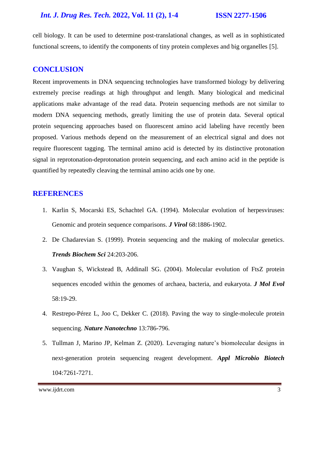#### *Int. J. Drug Res. Tech.* **2022, Vol. 11 (2), 1-4 ISSN 2277-1506**

cell biology. It can be used to determine post-translational changes, as well as in sophisticated functional screens, to identify the components of tiny protein complexes and big organelles [5].

#### **CONCLUSION**

Recent improvements in DNA sequencing technologies have transformed biology by delivering extremely precise readings at high throughput and length. Many biological and medicinal applications make advantage of the read data. Protein sequencing methods are not similar to modern DNA sequencing methods, greatly limiting the use of protein data. Several optical protein sequencing approaches based on fluorescent amino acid labeling have recently been proposed. Various methods depend on the measurement of an electrical signal and does not require fluorescent tagging. The terminal amino acid is detected by its distinctive protonation signal in reprotonation-deprotonation protein sequencing, and each amino acid in the peptide is quantified by repeatedly cleaving the terminal amino acids one by one*.* 

#### **REFERENCES**

- 1. Karlin S, Mocarski ES, Schachtel GA. (1994). [Molecular evolution of herpesviruses:](https://www.ncbi.nlm.nih.gov/pmc/articles/PMC236651/)  [Genomic and protein sequence comparisons.](https://www.ncbi.nlm.nih.gov/pmc/articles/PMC236651/) *J Virol* 68:1886-1902.
- 2. De Chadarevian S. (199[9\). Protein sequencing and the making of molecular genetics.](https://www.semanticscholar.org/paper/Protein-sequencing-and-the-making-of-molecular-Chadarevian/69daf4fff48b25f7dfc5e461e261ac95e4664cab) *Trends Biochem Sci* 24:203-206.
- 3. Vaughan S, Wickstead B, Addinall SG. (2004). [Molecular evolution of FtsZ protein](https://www.researchgate.net/publication/8903693_Molecular_Evolution_of_FtsZ_Protein_Sequences_Encoded_Within_the_Genomes_of_Archaea_Bacteria_and_Eukaryota)  [sequences encoded within the genomes of archaea, bacteria, and eukaryota.](https://www.researchgate.net/publication/8903693_Molecular_Evolution_of_FtsZ_Protein_Sequences_Encoded_Within_the_Genomes_of_Archaea_Bacteria_and_Eukaryota) *J Mol Evol* 58:19-29.
- 4. Restrepo-Pérez L, Joo C, Dekker C. (2018). [Paving the way to single-molecule protein](https://www.nature.com/articles/s41565-018-0236-6)  [sequencing.](https://www.nature.com/articles/s41565-018-0236-6) *Nature Nanotechno* 13:786-796.
- 5. Tullman J, Marino JP, Kelman Z. (2020). [Leveraging nature's biomolecular designs in](https://europepmc.org/article/med/32617618)  [next-generation protein sequencing reagent development.](https://europepmc.org/article/med/32617618) *Appl Microbio Biotech* 104:7261-7271.

[www.ijdrt.com](http://www.ijdrt.com/) 3